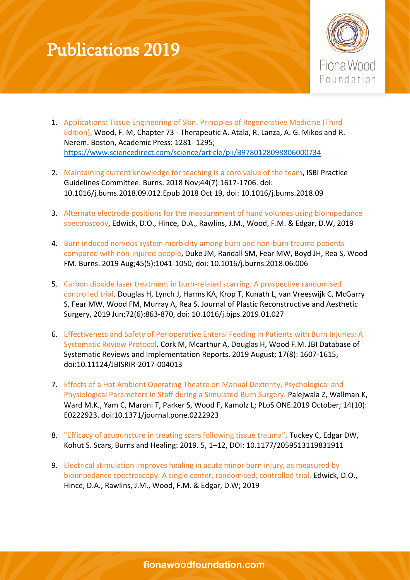## Publications 2019



- 1. Applications: Tissue Engineering of Skin. Principles of Regenerative Medicine (Third Edition), Wood, F. M, Chapter 73 - Therapeutic A. Atala, R. Lanza, A. G. Mikos and R. Nerem. Boston, Academic Press: 1281- 1295; <https://www.sciencedirect.com/science/article/pii/B9780128098806000734>
- 2. Maintaining current knowledge for teaching is a core value of the team, ISBI Practice Guidelines Committee. Burns. 2018 Nov;44(7):1617-1706. doi: 10.1016/j.bums.2018.09.012.Epub 2018 Oct 19, doi: 10.1016/j.bums.2018.09
- 3. Alternate electrode positions for the measurement of hand volumes using bioimpedance spectroscopy, Edwick, D.O., Hince, D.A., Rawlins, J.M., Wood, F.M. & Edgar, D.W, 2019
- 4. Burn induced nervous system morbidity among burn and non-burn trauma patients compared with non-injured people, Duke JM, Randall SM, Fear MW, Boyd JH, Rea S, Wood FM. Burns. 2019 Aug;45(5):1041-1050, doi: 10.1016/j.burns.2018.06.006
- 5. Carbon dioxide laser treatment in burn-related scarring: A prospective randomised controlled trial. Douglas H, Lynch J, Harms KA, Krop T, Kunath L, van Vreeswijk C, McGarry S, Fear MW, Wood FM, Murray A, Rea S. Journal of Plastic Reconstructive and Aesthetic Surgery, 2019 Jun;72(6):863-870, doi: 10.1016/j.bjps.2019.01.027
- 6. Effectiveness and Safety of Perioperative Enteral Feeding in Patients with Burn Injuries: A Systematic Review Protocol. Cork M, Mcarthur A, Douglas H, Wood F.M. JBI Database of Systematic Reviews and Implementation Reports. 2019 August; 17(8): 1607-1615, doi:10.11124/JBISRIR-2017-004013
- 7. Effects of a Hot Ambient Operating Theatre on Manual Dexterity, Psychological and Physiological Parameters in Staff during a Simulated Burn Surgery. Palejwala Z, Wallman K, Ward M.K., Yam C, Maroni T, Parker S, Wood F, Kamolz L; PLoS ONE.2019 October; 14(10): E0222923. doi:10.1371/journal.pone.0222923
- 8. "Efficacy of acupuncture in treating scars following tissue trauma". Tuckey C, Edgar DW, Kohut S. Scars, Burns and Healing: 2019. 5, 1–12, DOI: 10.1177/2059513119831911
- 9. Electrical stimulation improves healing in acute minor burn injury, as measured by bioimpedance spectroscopy: A single center, randomised, controlled trial. Edwick, D.O., Hince, D.A., Rawlins, J.M., Wood, F.M. & Edgar, D.W; 2019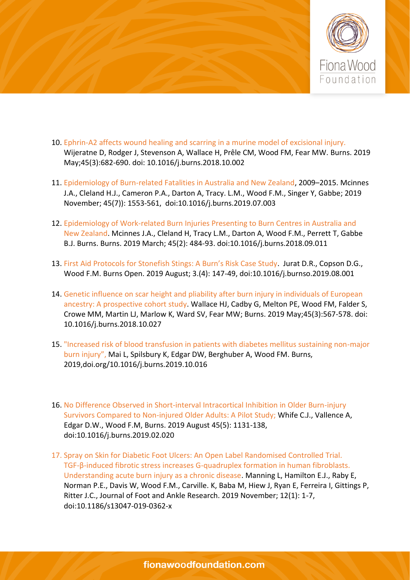

- 10. Ephrin-A2 affects wound healing and scarring in a murine model of excisional injury. Wijeratne D, Rodger J, Stevenson A, Wallace H, Prêle CM, Wood FM, Fear MW. Burns. 2019 May;45(3):682-690. doi: 10.1016/j.burns.2018.10.002
- 11. Epidemiology of Burn-related Fatalities in Australia and New Zealand, 2009–2015. Mcinnes J.A., Cleland H.J., Cameron P.A., Darton A, Tracy. L.M., Wood F.M., Singer Y, Gabbe; 2019 November; 45(7)): 1553-561, doi:10.1016/j.burns.2019.07.003
- 12. Epidemiology of Work-related Burn Injuries Presenting to Burn Centres in Australia and New Zealand. Mcinnes J.A., Cleland H, Tracy L.M., Darton A, Wood F.M., Perrett T, Gabbe B.J. Burns. Burns. 2019 March; 45(2): 484-93. doi:10.1016/j.burns.2018.09.011
- 13. First Aid Protocols for Stonefish Stings: A Burn's Risk Case Study. Jurat D.R., Copson D.G., Wood F.M. Burns Open. 2019 August; 3.(4): 147-49, doi:10.1016/j.burnso.2019.08.001
- 14. Genetic influence on scar height and pliability after burn injury in individuals of European ancestry: A prospective cohort study. Wallace HJ, Cadby G, Melton PE, Wood FM, Falder S, Crowe MM, Martin LJ, Marlow K, Ward SV, Fear MW; Burns. 2019 May;45(3):567-578. doi: 10.1016/j.burns.2018.10.027
- 15. "Increased risk of blood transfusion in patients with diabetes mellitus sustaining non-major burn injury", Mai L, Spilsbury K, Edgar DW, Berghuber A, Wood FM. Burns, 2019,doi.org/10.1016/j.burns.2019.10.016
- 16. No Difference Observed in Short-interval Intracortical Inhibition in Older Burn-injury Survivors Compared to Non-injured Older Adults: A Pilot Study; Whife C.J., Vallence A, Edgar D.W., Wood F.M, Burns. 2019 August 45(5): 1131-138, doi:10.1016/j.burns.2019.02.020
- 17. Spray on Skin for Diabetic Foot Ulcers: An Open Label Randomised Controlled Trial. TGF-β-induced fibrotic stress increases G-quadruplex formation in human fibroblasts. Understanding acute burn injury as a chronic disease. Manning L, Hamilton E.J., Raby E, Norman P.E., Davis W, Wood F.M., Carville. K, Baba M, Hiew J, Ryan E, Ferreira I, Gittings P, Ritter J.C., Journal of Foot and Ankle Research. 2019 November; 12(1): 1-7, doi:10.1186/s13047-019-0362-x